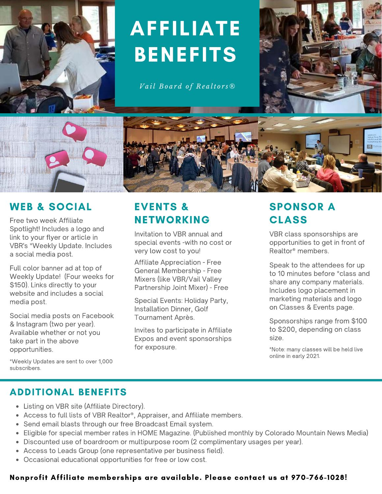

# AFFILIATE BENEFITS

 $Val$  *Board of Realtors*<sup>®</sup>





Free two week Affiliate Spotlight! Includes a logo and link to your flyer or article in VBR's \*Weekly Update. Includes a social media post.

Full color banner ad at top of Weekly Update! (Four weeks for \$150). Links directly to your website and includes a social media post.

Social media posts on Facebook & Instagram (two per year). Available whether or not you take part in the above opportunities.

# EVENTS & NETWORKING

Invitation to VBR annual and special events -with no cost or very low cost to you!

Affiliate Appreciation - Free General Membership - Free Mixers (like VBR/Vail Valley Partnership Joint Mixer) - Free

Special Events: Holiday Party, Installation Dinner, Golf Tournament Après.

Invites to participate in Affiliate Expos and event sponsorships for exposure.

# SPONSOR A CLASS

VBR class sponsorships are opportunities to get in front of Realtor® members.

Speak to the attendees for up to 10 minutes before \*class and share any company materials. Includes logo placement in marketing materials and logo on Classes & Events page.

Sponsorships range from \$100 to \$200, depending on class size.

\*Note: many classes will be held live online in early 2021.

\*Weekly Updates are sent to over 1,000 subscribers.

## ADDITIONAL BENEFITS

- Listing on VBR site (Affiliate Directory).
- Access to full lists of VBR Realtor®, Appraiser, and Affiliate members.
- Send email blasts through our free Broadcast Email system.
- Eligible for special member rates in HOME Magazine. (Published monthly by Colorado Mountain News Media)
- Discounted use of boardroom or multipurpose room (2 complimentary usages per year).
- Access to Leads Group (one representative per business field).
- Occasional educational opportunities for free or low cost.

#### Nonprofit Affiliate memberships are available. Please contact us at 970-766-1028!